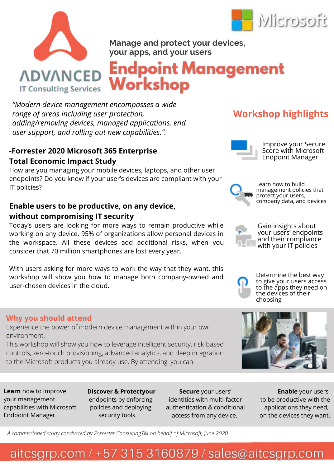



**Manage and protect your devices, your apps, and your users**

**Endpoint Management** Workshop

*"Modern device management encompasses a wide range of areas including user protection, adding/removing devices, managed applications, end user support, and rolling out new capabilities.".*

### **-Forrester 2020 Microsoft 365 Enterprise Total Economic Impact Study**

How are you managing your mobile devices, laptops, and other user endpoints? Do you know if your user's devices are compliant with your IT policies?

## **Enable users to be productive, on any device, without compromising IT security**

Today's users are looking for more ways to remain productive while working on any device. 95% of organizations allow personal devices in the workspace. All these devices add additional risks, when you consider that 70 million smartphones are lost every year.

With users asking for more ways to work the way that they want, this workshop will show you how to manage both company-owned and user-chosen devices in the cloud.

### **Why you should attend**

Experience the power of modern device management within your own environment.

This workshop will show you how to leverage intelligent security, risk-based controls, zero-touch provisioning, advanced analytics, and deep integration to the Microsoft products you already use. By attending, you can:

**Learn** how to improve your management capabilities with Microsoft Endpoint Manager.

**Discover & Protectyour** endpoints by enforcing policies and deploying security tools.

**Secure** your users' identities with multi-factor authentication & conditional access from any device.

**Enable** your users to be productive with the applications they need, on the devices they want.

*A commissioned study conducted by Forrester ConsultingTM on behalf of Microsoft, June 2020*

# **Workshop highlights**



Improve your Secure Score with Microsoft Endpoint Manager



Learn how to build management policies that protect your users, company data, and devices



Gain insights about your users' endpoints and their compliance with your IT policies



Determine the best way to give your users access to the apps they need on the devices of their choosing



# aitcsgrp.com / +57 315 3160879 / sales@aitcsgrp.com